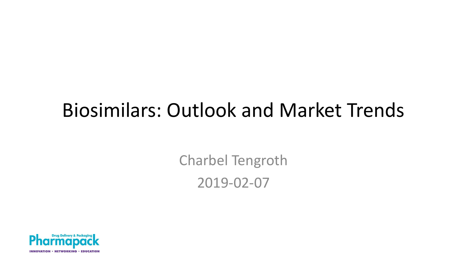#### Biosimilars: Outlook and Market Trends

Charbel Tengroth 2019-02-07

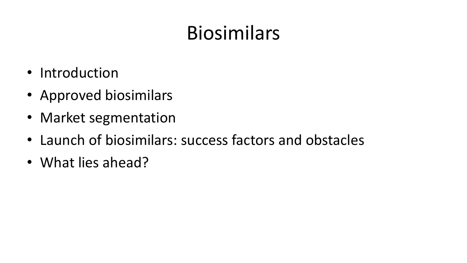# Biosimilars

- Introduction
- Approved biosimilars
- Market segmentation
- Launch of biosimilars: success factors and obstacles
- What lies ahead?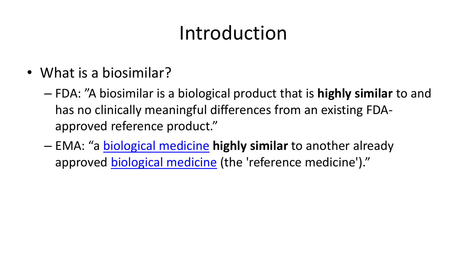### Introduction

- What is a biosimilar?
	- FDA: "A biosimilar is a biological product that is **highly similar** to and has no clinically meaningful differences from an existing FDAapproved reference product."
	- EMA: "a [biological medicine](https://www.ema.europa.eu/en/glossary/biological-medicine) **highly similar** to another already approved [biological medicine](https://www.ema.europa.eu/en/glossary/biological-medicine) (the 'reference medicine')."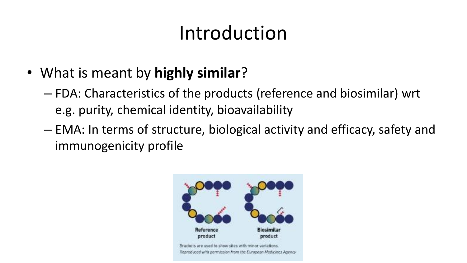### Introduction

- What is meant by **highly similar**?
	- FDA: Characteristics of the products (reference and biosimilar) wrt e.g. purity, chemical identity, bioavailability
	- EMA: In terms of structure, biological activity and efficacy, safety and immunogenicity profile

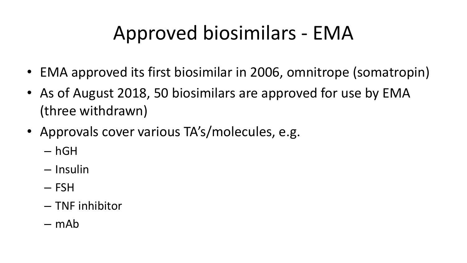### Approved biosimilars - EMA

- EMA approved its first biosimilar in 2006, omnitrope (somatropin)
- As of August 2018, 50 biosimilars are approved for use by EMA (three withdrawn)
- Approvals cover various TA's/molecules, e.g.
	- hGH
	- Insulin
	- FSH
	- TNF inhibitor
	- mAb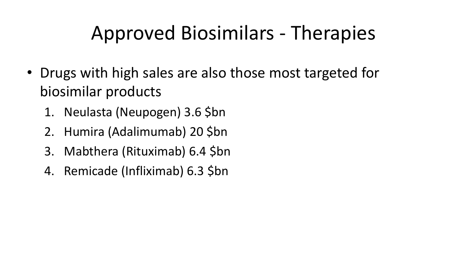### Approved Biosimilars - Therapies

- Drugs with high sales are also those most targeted for biosimilar products
	- 1. Neulasta (Neupogen) 3.6 \$bn
	- 2. Humira (Adalimumab) 20 \$bn
	- 3. Mabthera (Rituximab) 6.4 \$bn
	- 4. Remicade (Infliximab) 6.3 \$bn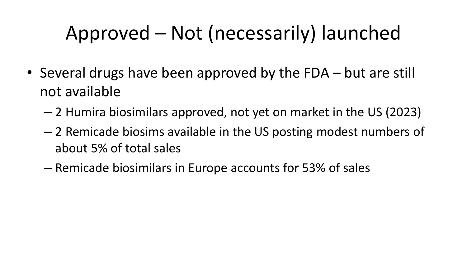# Approved – Not (necessarily) launched

- Several drugs have been approved by the FDA but are still not available
	- 2 Humira biosimilars approved, not yet on market in the US (2023)
	- 2 Remicade biosims available in the US posting modest numbers of about 5% of total sales
	- Remicade biosimilars in Europe accounts for 53% of sales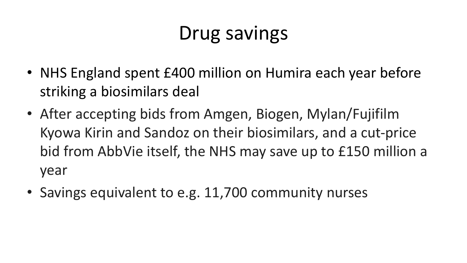### Drug savings

- NHS England spent £400 million on Humira each year before striking a biosimilars deal
- After accepting bids from Amgen, Biogen, Mylan/Fujifilm Kyowa Kirin and Sandoz on their biosimilars, and a cut-price bid from AbbVie itself, the NHS may save up to £150 million a year
- Savings equivalent to e.g. 11,700 community nurses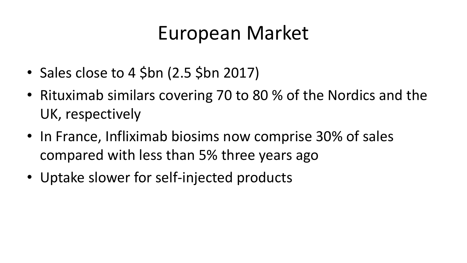#### European Market

- Sales close to 4 \$bn (2.5 \$bn 2017)
- Rituximab similars covering 70 to 80 % of the Nordics and the UK, respectively
- In France, Infliximab biosims now comprise 30% of sales compared with less than 5% three years ago
- Uptake slower for self-injected products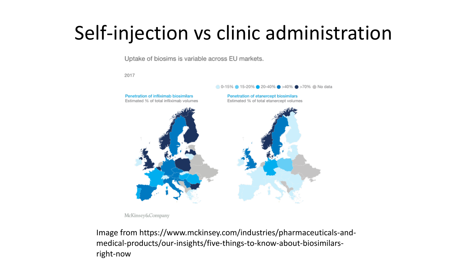### Self-injection vs clinic administration

Uptake of biosims is variable across EU markets.

2017



McKinsey&Company

Image from https://www.mckinsey.com/industries/pharmaceuticals-andmedical-products/our-insights/five-things-to-know-about-biosimilarsright-now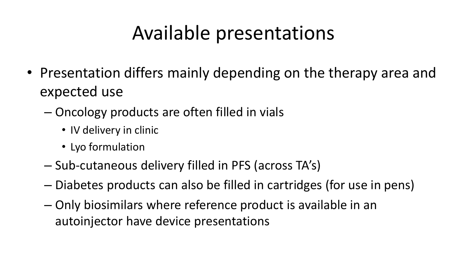### Available presentations

- Presentation differs mainly depending on the therapy area and expected use
	- Oncology products are often filled in vials
		- IV delivery in clinic
		- Lyo formulation
	- Sub-cutaneous delivery filled in PFS (across TA's)
	- Diabetes products can also be filled in cartridges (for use in pens)
	- Only biosimilars where reference product is available in an autoinjector have device presentations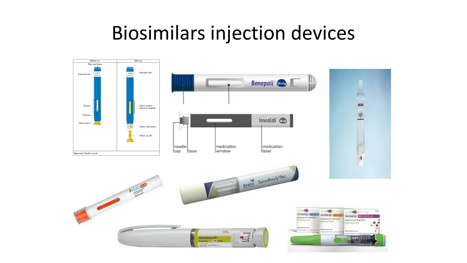#### Biosimilars injection devices

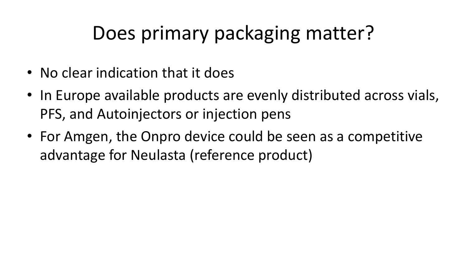### Does primary packaging matter?

- No clear indication that it does
- In Europe available products are evenly distributed across vials, PFS, and Autoinjectors or injection pens
- For Amgen, the Onpro device could be seen as a competitive advantage for Neulasta (reference product)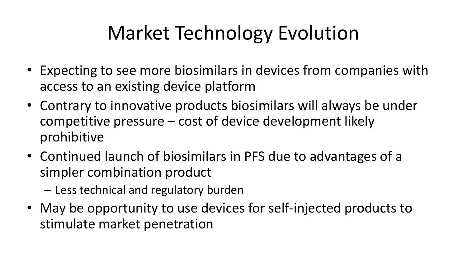# Market Technology Evolution

- Expecting to see more biosimilars in devices from companies with access to an existing device platform
- Contrary to innovative products biosimilars will always be under competitive pressure – cost of device development likely prohibitive
- Continued launch of biosimilars in PFS due to advantages of a simpler combination product
	- Less technical and regulatory burden
- May be opportunity to use devices for self-injected products to stimulate market penetration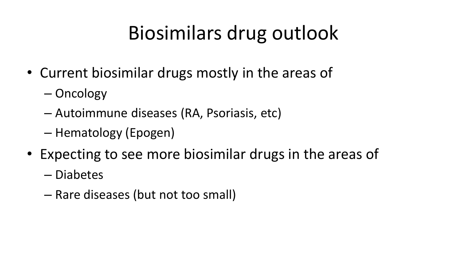# Biosimilars drug outlook

- Current biosimilar drugs mostly in the areas of
	- Oncology
	- Autoimmune diseases (RA, Psoriasis, etc)
	- Hematology (Epogen)
- Expecting to see more biosimilar drugs in the areas of
	- Diabetes
	- Rare diseases (but not too small)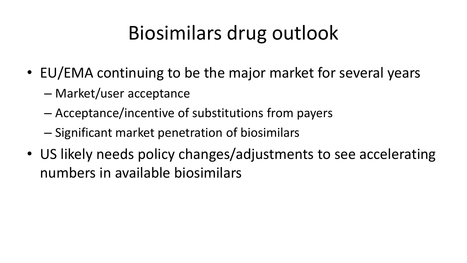# Biosimilars drug outlook

- EU/EMA continuing to be the major market for several years
	- Market/user acceptance
	- Acceptance/incentive of substitutions from payers
	- Significant market penetration of biosimilars
- US likely needs policy changes/adjustments to see accelerating numbers in available biosimilars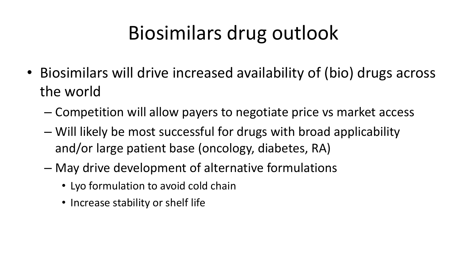# Biosimilars drug outlook

- Biosimilars will drive increased availability of (bio) drugs across the world
	- Competition will allow payers to negotiate price vs market access
	- Will likely be most successful for drugs with broad applicability and/or large patient base (oncology, diabetes, RA)
	- May drive development of alternative formulations
		- Lyo formulation to avoid cold chain
		- Increase stability or shelf life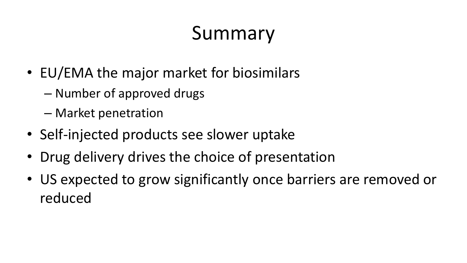# Summary

- EU/EMA the major market for biosimilars
	- Number of approved drugs
	- Market penetration
- Self-injected products see slower uptake
- Drug delivery drives the choice of presentation
- US expected to grow significantly once barriers are removed or reduced